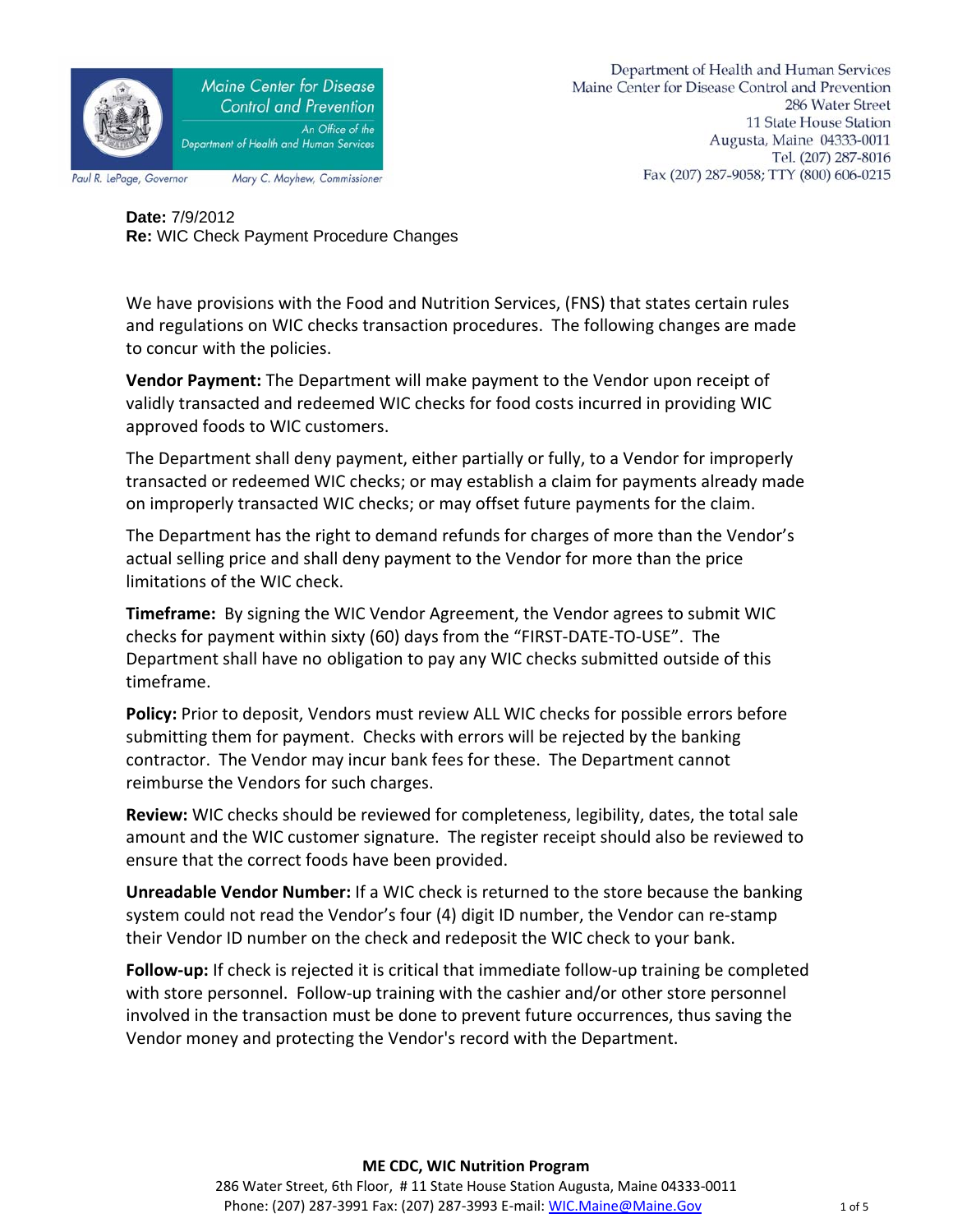

Department of Health and Human Services Maine Center for Disease Control and Prevention 286 Water Street 11 State House Station Augusta, Maine 04333-0011 Tel. (207) 287-8016 Fax (207) 287-9058; TTY (800) 606-0215

**Date:** 7/9/2012 **Re:** WIC Check Payment Procedure Changes

We have provisions with the Food and Nutrition Services, (FNS) that states certain rules and regulations on WIC checks transaction procedures. The following changes are made to concur with the policies.

**Vendor Payment:** The Department will make payment to the Vendor upon receipt of validly transacted and redeemed WIC checks for food costs incurred in providing WIC approved foods to WIC customers.

The Department shall deny payment, either partially or fully, to a Vendor for improperly transacted or redeemed WIC checks; or may establish a claim for payments already made on improperly transacted WIC checks; or may offset future payments for the claim.

The Department has the right to demand refunds for charges of more than the Vendor's actual selling price and shall deny payment to the Vendor for more than the price limitations of the WIC check.

**Timeframe:** By signing the WIC Vendor Agreement, the Vendor agrees to submit WIC checks for payment within sixty (60) days from the "FIRST‐DATE‐TO‐USE". The Department shall have no obligation to pay any WIC checks submitted outside of this timeframe.

**Policy:** Prior to deposit, Vendors must review ALL WIC checks for possible errors before submitting them for payment. Checks with errors will be rejected by the banking contractor. The Vendor may incur bank fees for these. The Department cannot reimburse the Vendors for such charges.

**Review:** WIC checks should be reviewed for completeness, legibility, dates, the total sale amount and the WIC customer signature. The register receipt should also be reviewed to ensure that the correct foods have been provided.

**Unreadable Vendor Number:** If a WIC check is returned to the store because the banking system could not read the Vendor's four (4) digit ID number, the Vendor can re‐stamp their Vendor ID number on the check and redeposit the WIC check to your bank.

**Follow‐up:** If check is rejected it is critical that immediate follow‐up training be completed with store personnel. Follow-up training with the cashier and/or other store personnel involved in the transaction must be done to prevent future occurrences, thus saving the Vendor money and protecting the Vendor's record with the Department.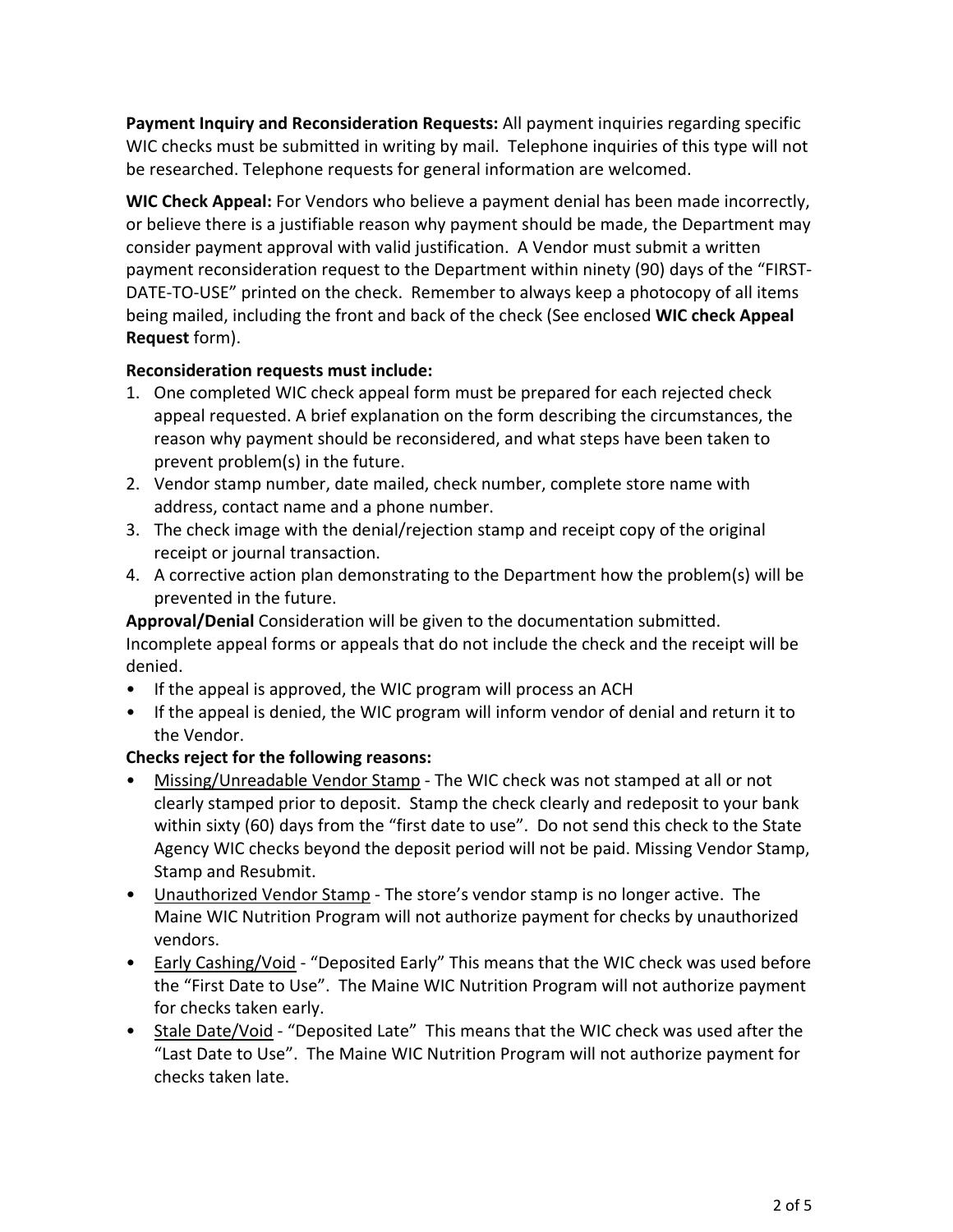**Payment Inquiry and Reconsideration Requests:** All payment inquiries regarding specific WIC checks must be submitted in writing by mail. Telephone inquiries of this type will not be researched. Telephone requests for general information are welcomed.

**WIC Check Appeal:** For Vendors who believe a payment denial has been made incorrectly, or believe there is a justifiable reason why payment should be made, the Department may consider payment approval with valid justification. A Vendor must submit a written payment reconsideration request to the Department within ninety (90) days of the "FIRST‐ DATE-TO-USE" printed on the check. Remember to always keep a photocopy of all items being mailed, including the front and back of the check (See enclosed **WIC check Appeal Request** form).

### **Reconsideration requests must include:**

- 1. One completed WIC check appeal form must be prepared for each rejected check appeal requested. A brief explanation on the form describing the circumstances, the reason why payment should be reconsidered, and what steps have been taken to prevent problem(s) in the future.
- 2. Vendor stamp number, date mailed, check number, complete store name with address, contact name and a phone number.
- 3. The check image with the denial/rejection stamp and receipt copy of the original receipt or journal transaction.
- 4. A corrective action plan demonstrating to the Department how the problem(s) will be prevented in the future.

**Approval/Denial** Consideration will be given to the documentation submitted. Incomplete appeal forms or appeals that do not include the check and the receipt will be denied.

- If the appeal is approved, the WIC program will process an ACH
- If the appeal is denied, the WIC program will inform vendor of denial and return it to the Vendor.

## **Checks reject for the following reasons:**

- Missing/Unreadable Vendor Stamp ‐ The WIC check was not stamped at all or not clearly stamped prior to deposit. Stamp the check clearly and redeposit to your bank within sixty (60) days from the "first date to use". Do not send this check to the State Agency WIC checks beyond the deposit period will not be paid. Missing Vendor Stamp, Stamp and Resubmit.
- **Unauthorized Vendor Stamp** The store's vendor stamp is no longer active. The Maine WIC Nutrition Program will not authorize payment for checks by unauthorized vendors.
- Early Cashing/Void ‐ "Deposited Early" This means that the WIC check was used before the "First Date to Use". The Maine WIC Nutrition Program will not authorize payment for checks taken early.
- Stale Date/Void ‐ "Deposited Late" This means that the WIC check was used after the "Last Date to Use". The Maine WIC Nutrition Program will not authorize payment for checks taken late.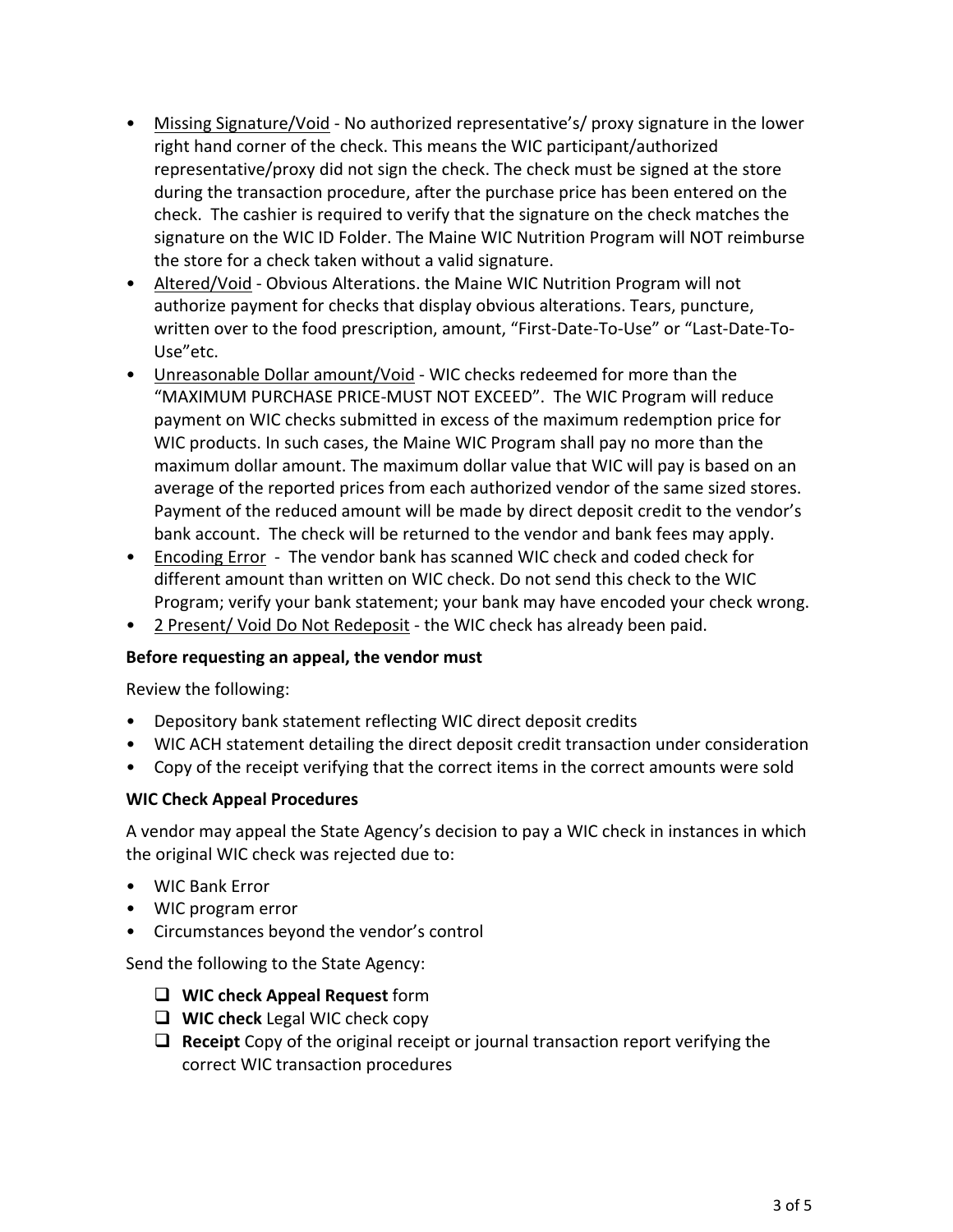- Missing Signature/Void No authorized representative's/ proxy signature in the lower right hand corner of the check. This means the WIC participant/authorized representative/proxy did not sign the check. The check must be signed at the store during the transaction procedure, after the purchase price has been entered on the check. The cashier is required to verify that the signature on the check matches the signature on the WIC ID Folder. The Maine WIC Nutrition Program will NOT reimburse the store for a check taken without a valid signature.
- Altered/Void Obvious Alterations. the Maine WIC Nutrition Program will not authorize payment for checks that display obvious alterations. Tears, puncture, written over to the food prescription, amount, "First‐Date‐To‐Use" or "Last‐Date‐To‐ Use"etc.
- Unreasonable Dollar amount/Void WIC checks redeemed for more than the "MAXIMUM PURCHASE PRICE‐MUST NOT EXCEED". The WIC Program will reduce payment on WIC checks submitted in excess of the maximum redemption price for WIC products. In such cases, the Maine WIC Program shall pay no more than the maximum dollar amount. The maximum dollar value that WIC will pay is based on an average of the reported prices from each authorized vendor of the same sized stores. Payment of the reduced amount will be made by direct deposit credit to the vendor's bank account. The check will be returned to the vendor and bank fees may apply.
- Encoding Error ‐ The vendor bank has scanned WIC check and coded check for different amount than written on WIC check. Do not send this check to the WIC Program; verify your bank statement; your bank may have encoded your check wrong.
- 2 Present/ Void Do Not Redeposit ‐ the WIC check has already been paid.

#### **Before requesting an appeal, the vendor must**

Review the following:

- Depository bank statement reflecting WIC direct deposit credits
- WIC ACH statement detailing the direct deposit credit transaction under consideration
- Copy of the receipt verifying that the correct items in the correct amounts were sold

#### **WIC Check Appeal Procedures**

A vendor may appeal the State Agency's decision to pay a WIC check in instances in which the original WIC check was rejected due to:

- WIC Bank Error
- WIC program error
- Circumstances beyond the vendor's control

Send the following to the State Agency:

- **WIC check Appeal Request** form
- **WIC check** Legal WIC check copy
- **Receipt** Copy of the original receipt or journal transaction report verifying the correct WIC transaction procedures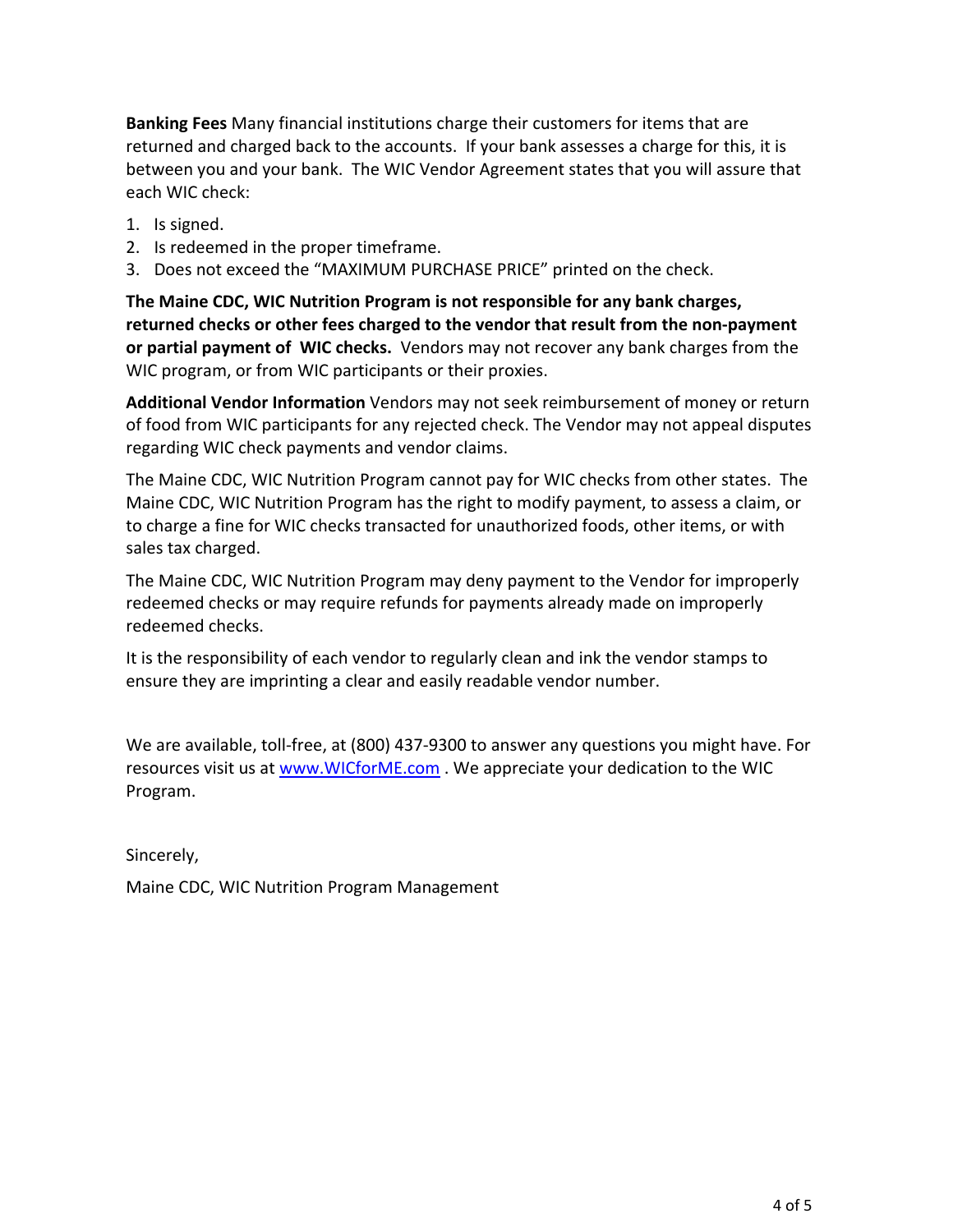**Banking Fees** Many financial institutions charge their customers for items that are returned and charged back to the accounts. If your bank assesses a charge for this, it is between you and your bank. The WIC Vendor Agreement states that you will assure that each WIC check:

- 1. Is signed.
- 2. Is redeemed in the proper timeframe.
- 3. Does not exceed the "MAXIMUM PURCHASE PRICE" printed on the check.

**The Maine CDC, WIC Nutrition Program is not responsible for any bank charges, returned checks or other fees charged to the vendor that result from the non‐payment or partial payment of WIC checks.** Vendors may not recover any bank charges from the WIC program, or from WIC participants or their proxies.

**Additional Vendor Information** Vendors may not seek reimbursement of money or return of food from WIC participants for any rejected check. The Vendor may not appeal disputes regarding WIC check payments and vendor claims.

The Maine CDC, WIC Nutrition Program cannot pay for WIC checks from other states. The Maine CDC, WIC Nutrition Program has the right to modify payment, to assess a claim, or to charge a fine for WIC checks transacted for unauthorized foods, other items, or with sales tax charged.

The Maine CDC, WIC Nutrition Program may deny payment to the Vendor for improperly redeemed checks or may require refunds for payments already made on improperly redeemed checks.

It is the responsibility of each vendor to regularly clean and ink the vendor stamps to ensure they are imprinting a clear and easily readable vendor number.

We are available, toll-free, at (800) 437-9300 to answer any questions you might have. For resources visit us at www.WICforME.com. We appreciate your dedication to the WIC Program.

Sincerely,

Maine CDC, WIC Nutrition Program Management